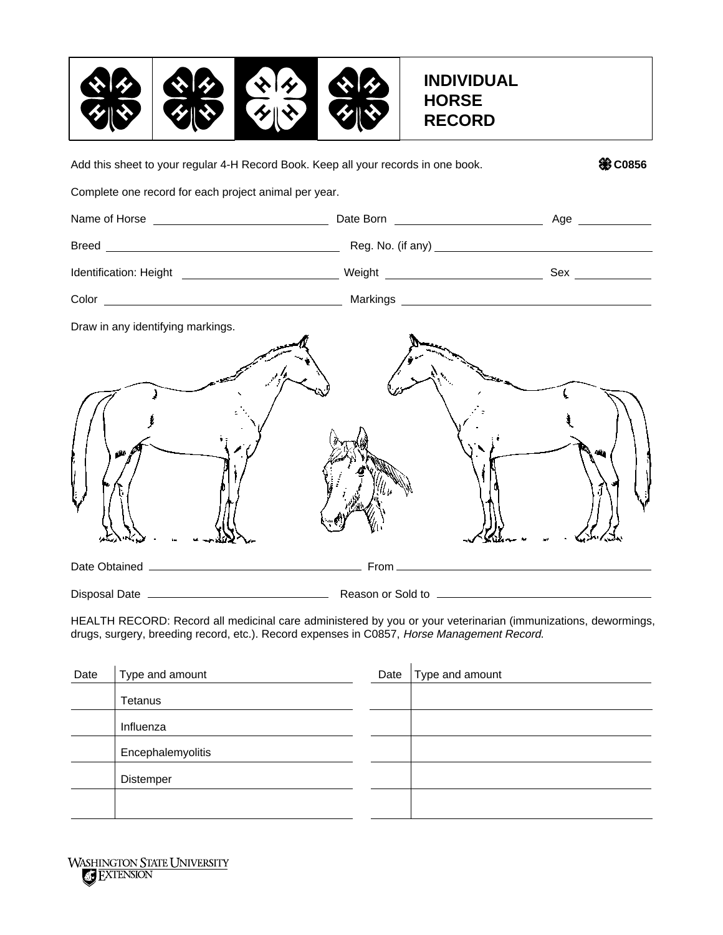

Date Obtained From Disposal Date Reason or Sold to Add this sheet to your regular 4-H Record Book. Keep all your records in one book. **COS56** 20856 Complete one record for each project animal per year. Name of Horse Date Born Age Breed Reg. No. (if any) Identification: Height Network Sex Network Sex Network Sex Network Sex Network Sex Network Sex Network Sex Network Sex Network Sex Network Sex Network Sex Network Sex Network Sex Network Sex Network Sex Network Sex Network Color Markings Draw in any identifying markings.

HEALTH RECORD: Record all medicinal care administered by you or your veterinarian (immunizations, dewormings, drugs, surgery, breeding record, etc.). Record expenses in C0857, Horse Management Record.

| Type and amount   | Date | Type and amount |  |
|-------------------|------|-----------------|--|
| Tetanus           |      |                 |  |
| Influenza         |      |                 |  |
| Encephalemyolitis |      |                 |  |
| Distemper         |      |                 |  |
|                   |      |                 |  |
|                   |      |                 |  |